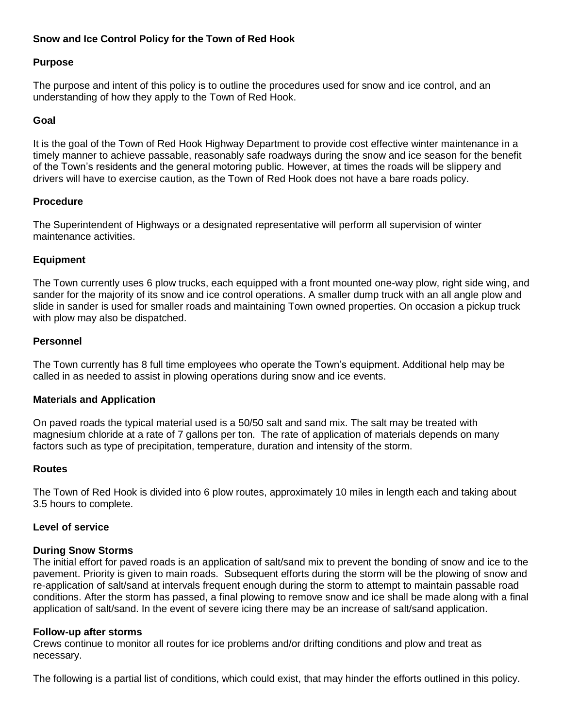# **Snow and Ice Control Policy for the Town of Red Hook**

### **Purpose**

The purpose and intent of this policy is to outline the procedures used for snow and ice control, and an understanding of how they apply to the Town of Red Hook.

### **Goal**

It is the goal of the Town of Red Hook Highway Department to provide cost effective winter maintenance in a timely manner to achieve passable, reasonably safe roadways during the snow and ice season for the benefit of the Town's residents and the general motoring public. However, at times the roads will be slippery and drivers will have to exercise caution, as the Town of Red Hook does not have a bare roads policy.

#### **Procedure**

The Superintendent of Highways or a designated representative will perform all supervision of winter maintenance activities.

#### **Equipment**

The Town currently uses 6 plow trucks, each equipped with a front mounted one-way plow, right side wing, and sander for the majority of its snow and ice control operations. A smaller dump truck with an all angle plow and slide in sander is used for smaller roads and maintaining Town owned properties. On occasion a pickup truck with plow may also be dispatched.

#### **Personnel**

The Town currently has 8 full time employees who operate the Town's equipment. Additional help may be called in as needed to assist in plowing operations during snow and ice events.

#### **Materials and Application**

On paved roads the typical material used is a 50/50 salt and sand mix. The salt may be treated with magnesium chloride at a rate of 7 gallons per ton. The rate of application of materials depends on many factors such as type of precipitation, temperature, duration and intensity of the storm.

#### **Routes**

The Town of Red Hook is divided into 6 plow routes, approximately 10 miles in length each and taking about 3.5 hours to complete.

#### **Level of service**

#### **During Snow Storms**

The initial effort for paved roads is an application of salt/sand mix to prevent the bonding of snow and ice to the pavement. Priority is given to main roads. Subsequent efforts during the storm will be the plowing of snow and re-application of salt/sand at intervals frequent enough during the storm to attempt to maintain passable road conditions. After the storm has passed, a final plowing to remove snow and ice shall be made along with a final application of salt/sand. In the event of severe icing there may be an increase of salt/sand application.

#### **Follow-up after storms**

Crews continue to monitor all routes for ice problems and/or drifting conditions and plow and treat as necessary.

The following is a partial list of conditions, which could exist, that may hinder the efforts outlined in this policy.